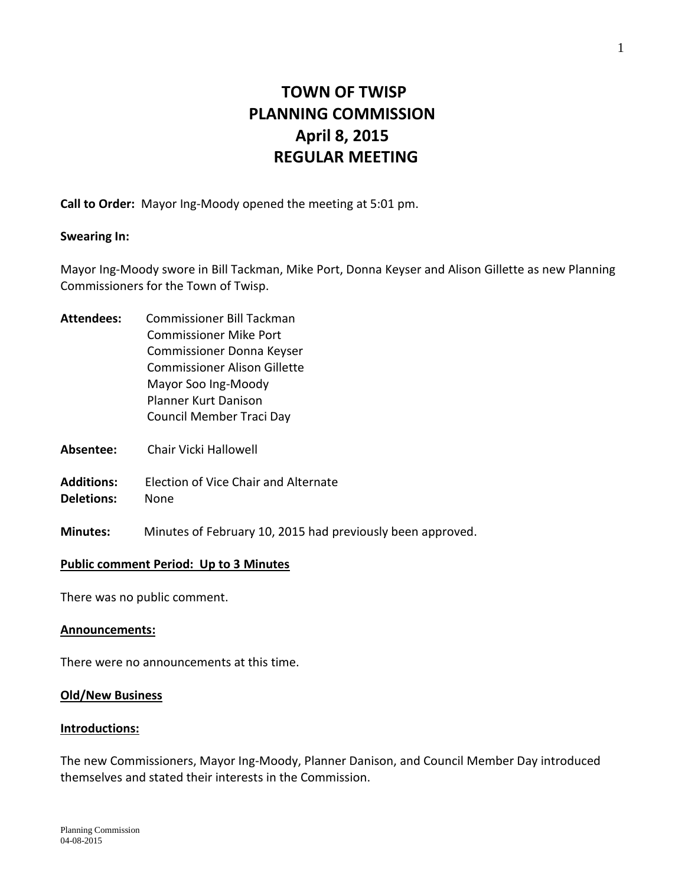# **TOWN OF TWISP PLANNING COMMISSION April 8, 2015 REGULAR MEETING**

**Call to Order:** Mayor Ing-Moody opened the meeting at 5:01 pm.

#### **Swearing In:**

Mayor Ing-Moody swore in Bill Tackman, Mike Port, Donna Keyser and Alison Gillette as new Planning Commissioners for the Town of Twisp.

- **Attendees:** Commissioner Bill Tackman Commissioner Mike Port Commissioner Donna Keyser Commissioner Alison Gillette Mayor Soo Ing-Moody Planner Kurt Danison Council Member Traci Day
- **Absentee:** Chair Vicki Hallowell
- **Additions:** Election of Vice Chair and Alternate
- **Deletions:** None
- **Minutes:** Minutes of February 10, 2015 had previously been approved.

#### **Public comment Period: Up to 3 Minutes**

There was no public comment.

#### **Announcements:**

There were no announcements at this time.

#### **Old/New Business**

#### **Introductions:**

The new Commissioners, Mayor Ing-Moody, Planner Danison, and Council Member Day introduced themselves and stated their interests in the Commission.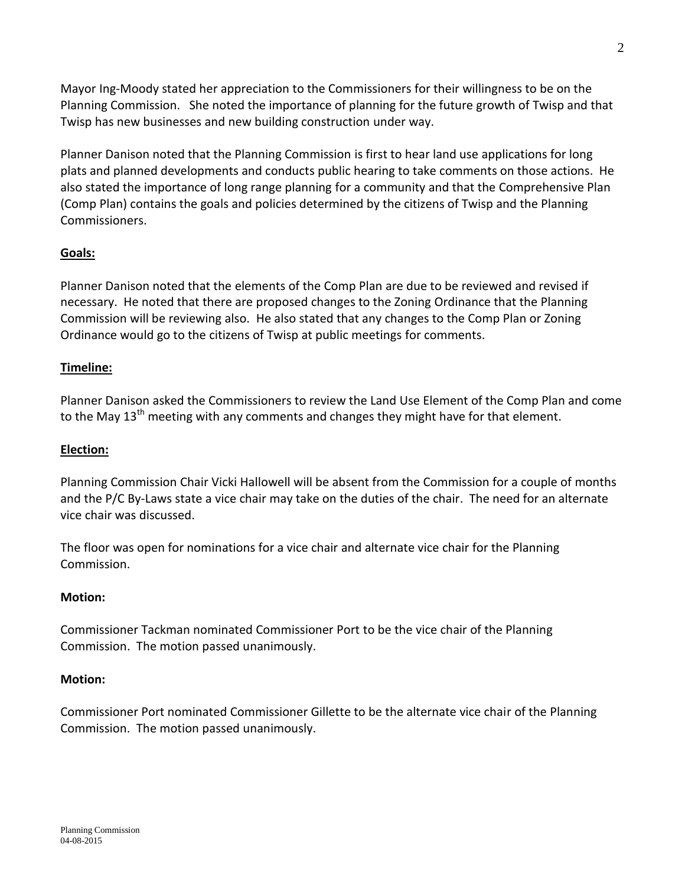Mayor Ing-Moody stated her appreciation to the Commissioners for their willingness to be on the Planning Commission. She noted the importance of planning for the future growth of Twisp and that Twisp has new businesses and new building construction under way.

Planner Danison noted that the Planning Commission is first to hear land use applications for long plats and planned developments and conducts public hearing to take comments on those actions. He also stated the importance of long range planning for a community and that the Comprehensive Plan (Comp Plan) contains the goals and policies determined by the citizens of Twisp and the Planning Commissioners.

## **Goals:**

Planner Danison noted that the elements of the Comp Plan are due to be reviewed and revised if necessary. He noted that there are proposed changes to the Zoning Ordinance that the Planning Commission will be reviewing also. He also stated that any changes to the Comp Plan or Zoning Ordinance would go to the citizens of Twisp at public meetings for comments.

## **Timeline:**

Planner Danison asked the Commissioners to review the Land Use Element of the Comp Plan and come to the May 13<sup>th</sup> meeting with any comments and changes they might have for that element.

### **Election:**

Planning Commission Chair Vicki Hallowell will be absent from the Commission for a couple of months and the P/C By-Laws state a vice chair may take on the duties of the chair. The need for an alternate vice chair was discussed.

The floor was open for nominations for a vice chair and alternate vice chair for the Planning Commission.

### **Motion:**

Commissioner Tackman nominated Commissioner Port to be the vice chair of the Planning Commission. The motion passed unanimously.

### **Motion:**

Commissioner Port nominated Commissioner Gillette to be the alternate vice chair of the Planning Commission. The motion passed unanimously.